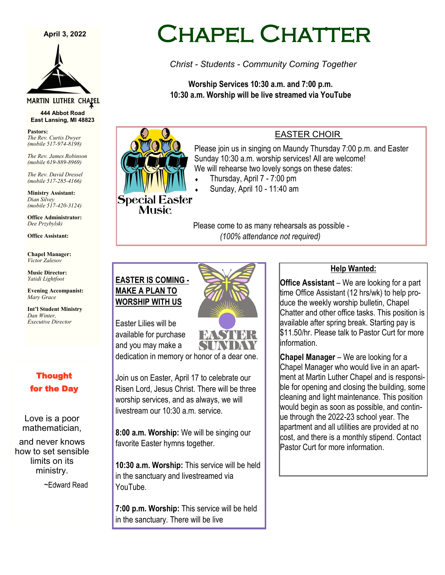#### **April 3, 2022**



#### MARTIN LUTHER CHAPEL

**444 Abbot Road East Lansing, MI 48823**

**Pastors:** *The Rev. Curtis Dwyer (mobile 517-974-8198)*

*The Rev. James Robinson (mobile 619-889-8969)*

*The Rev. David Dressel (mobile 517-285-4166)*

**Ministry Assistant:**  *Dian Silvey (mobile 517-420-3124)*

**Office Administrator:** *Dee Przybylski*

**Office Assistant:**

**Chapel Manager:** *Victor Zalesov*

**Music Director:** *Yatidi Lightfoot* 

**Evening Accompanist:** *Mary Grace*

**Int'l Student Ministry** *Dan Winter, Executive Director*

#### Thought for the Day

Love is a poor mathematician,

and never knows how to set sensible limits on its ministry.

~Edward Read

# Chapel Chatter

*Christ - Students - Community Coming Together*

**Worship Services 10:30 a.m. and 7:00 p.m. 10:30 a.m. Worship will be live streamed via YouTube**

# Special Easter **Music**

#### EASTER CHOIR

Please join us in singing on Maundy Thursday 7:00 p.m. and Easter Sunday 10:30 a.m. worship services! All are welcome! We will rehearse two lovely songs on these dates:

- Thursday, April 7 7:00 pm
- Sunday, April 10 11:40 am

Please come to as many rehearsals as possible - *(100% attendance not required)*

### **EASTER IS COMING - MAKE A PLAN TO WORSHIP WITH US**



Easter Lilies will be available for purchase and you may make a

dedication in memory or honor of a dear one.

Join us on Easter, April 17 to celebrate our Risen Lord, Jesus Christ. There will be three worship services, and as always, we will livestream our  $10:30$  a.m. service.

**8:00 a.m. Worship:** We will be singing our favorite Easter hymns together.

**10:30 a.m. Worship:** This service will be held in the sanctuary and livestreamed via YouTube.

**7:00 p.m. Worship:** This service will be held in the sanctuary. There will be live

#### **Help Wanted:**

**Office Assistant** – We are looking for a part time Office Assistant (12 hrs/wk) to help produce the weekly worship bulletin, Chapel Chatter and other office tasks. This position is available after spring break. Starting pay is \$11.50/hr. Please talk to Pastor Curt for more information.

**Chapel Manager** – We are looking for a Chapel Manager who would live in an apartment at Martin Luther Chapel and is responsible for opening and closing the building, some cleaning and light maintenance. This position would begin as soon as possible, and continue through the 2022-23 school year. The apartment and all utilities are provided at no cost, and there is a monthly stipend. Contact Pastor Curt for more information.